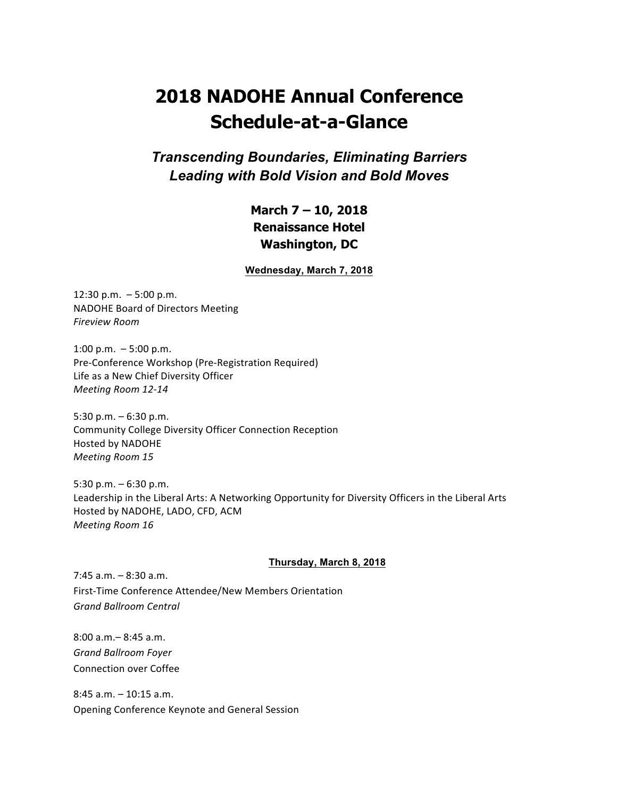# **2018 NADOHE Annual Conference Schedule-at-a-Glance**

*Transcending Boundaries, Eliminating Barriers Leading with Bold Vision and Bold Moves*

## **March 7 – 10, 2018 Renaissance Hotel Washington, DC**

**Wednesday, March 7, 2018**

 $12:30$  p.m.  $-5:00$  p.m. NADOHE Board of Directors Meeting *Fireview Room*

1:00 p.m.  $-5:00$  p.m. Pre-Conference Workshop (Pre-Registration Required) Life as a New Chief Diversity Officer *Meeting Room 12-14*

5:30 p.m.  $-6:30$  p.m. Community College Diversity Officer Connection Reception Hosted by NADOHE *Meeting Room 15*

5:30 p.m.  $-6:30$  p.m. Leadership in the Liberal Arts: A Networking Opportunity for Diversity Officers in the Liberal Arts Hosted by NADOHE, LADO, CFD, ACM *Meeting Room 16*

#### **Thursday, March 8, 2018**

 $7:45$  a.m.  $-8:30$  a.m. First-Time Conference Attendee/New Members Orientation *Grand Ballroom Central*

8:00 a.m.– 8:45 a.m. *Grand Ballroom Foyer* Connection over Coffee

 $8:45$  a.m.  $-10:15$  a.m. Opening Conference Keynote and General Session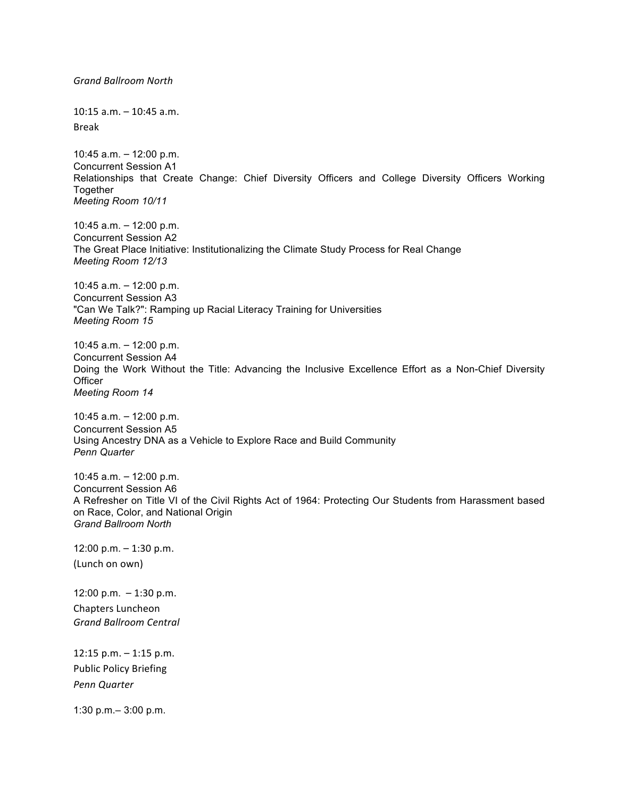*Grand Ballroom North* 10:15 a.m. – 10:45 a.m. Break 10:45 a.m. – 12:00 p.m. Concurrent Session A1 Relationships that Create Change: Chief Diversity Officers and College Diversity Officers Working Together *Meeting Room 10/11* 10:45 a.m. – 12:00 p.m. Concurrent Session A2 The Great Place Initiative: Institutionalizing the Climate Study Process for Real Change *Meeting Room 12/13* 10:45 a.m. – 12:00 p.m. Concurrent Session A3 "Can We Talk?": Ramping up Racial Literacy Training for Universities *Meeting Room 15* 10:45 a.m. – 12:00 p.m. Concurrent Session A4 Doing the Work Without the Title: Advancing the Inclusive Excellence Effort as a Non-Chief Diversity **Officer** *Meeting Room 14* 10:45 a.m. – 12:00 p.m. Concurrent Session A5 Using Ancestry DNA as a Vehicle to Explore Race and Build Community *Penn Quarter* 10:45 a.m. – 12:00 p.m. Concurrent Session A6 A Refresher on Title VI of the Civil Rights Act of 1964: Protecting Our Students from Harassment based on Race, Color, and National Origin *Grand Ballroom North* 12:00 p.m. – 1:30 p.m. (Lunch on own) 12:00 p.m. – 1:30 p.m. Chapters Luncheon *Grand Ballroom Central* 12:15 p.m.  $-$  1:15 p.m. Public Policy Briefing *Penn Quarter* 1:30 p.m.– 3:00 p.m.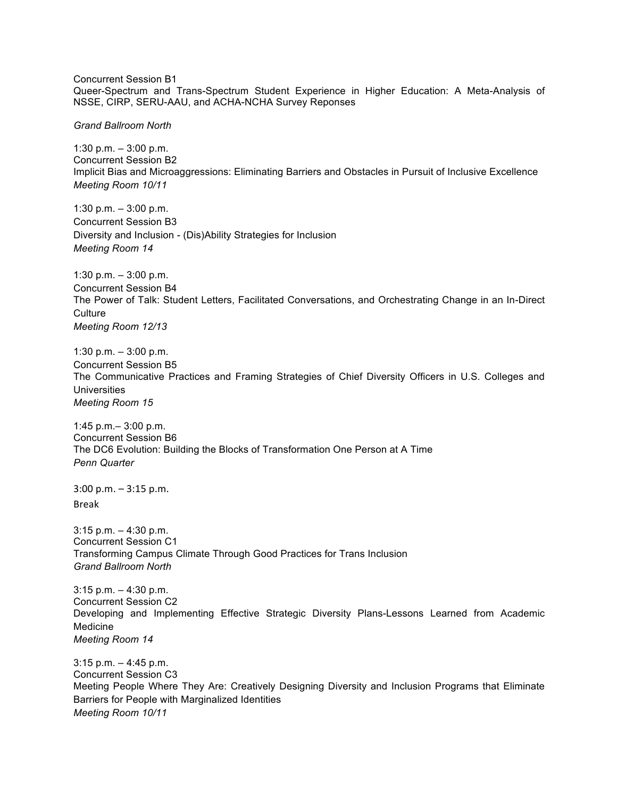Concurrent Session B1 Queer-Spectrum and Trans-Spectrum Student Experience in Higher Education: A Meta-Analysis of NSSE, CIRP, SERU-AAU, and ACHA-NCHA Survey Reponses

*Grand Ballroom North*

1:30 p.m. – 3:00 p.m. Concurrent Session B2 Implicit Bias and Microaggressions: Eliminating Barriers and Obstacles in Pursuit of Inclusive Excellence *Meeting Room 10/11*

1:30 p.m. – 3:00 p.m. Concurrent Session B3 Diversity and Inclusion - (Dis)Ability Strategies for Inclusion *Meeting Room 14*

1:30 p.m. – 3:00 p.m. Concurrent Session B4 The Power of Talk: Student Letters, Facilitated Conversations, and Orchestrating Change in an In-Direct **Culture** *Meeting Room 12/13*

1:30 p.m. – 3:00 p.m. Concurrent Session B5 The Communicative Practices and Framing Strategies of Chief Diversity Officers in U.S. Colleges and **Universities** *Meeting Room 15*

1:45 p.m.– 3:00 p.m. Concurrent Session B6 The DC6 Evolution: Building the Blocks of Transformation One Person at A Time *Penn Quarter*

 $3:00$  p.m.  $-3:15$  p.m. Break 

3:15 p.m. – 4:30 p.m. Concurrent Session C1 Transforming Campus Climate Through Good Practices for Trans Inclusion *Grand Ballroom North*

3:15 p.m. – 4:30 p.m. Concurrent Session C2 Developing and Implementing Effective Strategic Diversity Plans-Lessons Learned from Academic Medicine *Meeting Room 14*

3:15 p.m. – 4:45 p.m. Concurrent Session C3 Meeting People Where They Are: Creatively Designing Diversity and Inclusion Programs that Eliminate Barriers for People with Marginalized Identities *Meeting Room 10/11*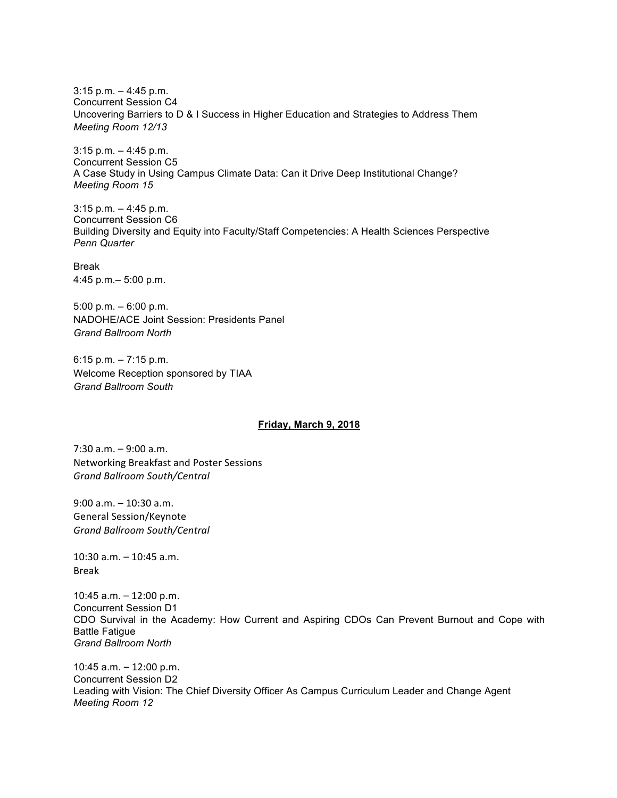3:15 p.m. – 4:45 p.m. Concurrent Session C4 Uncovering Barriers to D & I Success in Higher Education and Strategies to Address Them *Meeting Room 12/13*

3:15 p.m. – 4:45 p.m. Concurrent Session C5 A Case Study in Using Campus Climate Data: Can it Drive Deep Institutional Change? *Meeting Room 15*

3:15 p.m. – 4:45 p.m. Concurrent Session C6 Building Diversity and Equity into Faculty/Staff Competencies: A Health Sciences Perspective *Penn Quarter*

Break 4:45 p.m.– 5:00 p.m.

5:00 p.m. – 6:00 p.m. NADOHE/ACE Joint Session: Presidents Panel *Grand Ballroom North*

6:15 p.m. – 7:15 p.m. Welcome Reception sponsored by TIAA *Grand Ballroom South*

#### **Friday, March 9, 2018**

 $7:30$  a.m.  $-9:00$  a.m. Networking Breakfast and Poster Sessions *Grand Ballroom South/Central*

 $9:00$  a.m.  $-10:30$  a.m. General Session/Keynote *Grand Ballroom South/Central*

 $10:30$  a.m.  $-10:45$  a.m. Break

10:45  $a.m. - 12:00$  p.m. Concurrent Session D1 CDO Survival in the Academy: How Current and Aspiring CDOs Can Prevent Burnout and Cope with Battle Fatigue *Grand Ballroom North*

10:45 a.m.  $-12:00$  p.m. Concurrent Session D2 Leading with Vision: The Chief Diversity Officer As Campus Curriculum Leader and Change Agent *Meeting Room 12*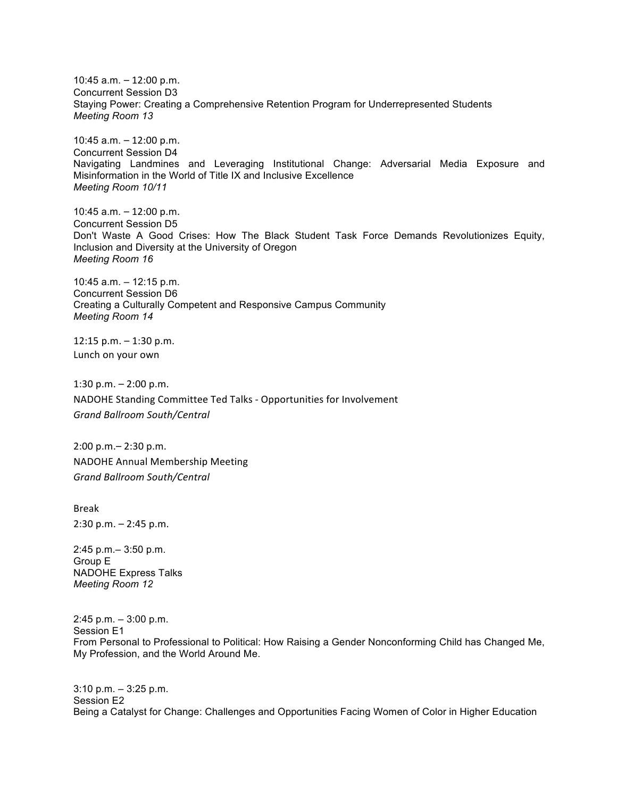10:45 a.m.  $-12:00$  p.m. Concurrent Session D3 Staying Power: Creating a Comprehensive Retention Program for Underrepresented Students *Meeting Room 13*

10:45  $a.m. - 12:00$  p.m. Concurrent Session D4 Navigating Landmines and Leveraging Institutional Change: Adversarial Media Exposure and Misinformation in the World of Title IX and Inclusive Excellence *Meeting Room 10/11*

10:45  $a.m. - 12:00$  p.m. Concurrent Session D5 Don't Waste A Good Crises: How The Black Student Task Force Demands Revolutionizes Equity, Inclusion and Diversity at the University of Oregon *Meeting Room 16*

10:45 a.m. – 12:15 p.m. Concurrent Session D6 Creating a Culturally Competent and Responsive Campus Community *Meeting Room 14*

12:15 p.m.  $-$  1:30 p.m. Lunch on your own

1:30 p.m.  $- 2:00$  p.m. NADOHE Standing Committee Ted Talks - Opportunities for Involvement *Grand Ballroom South/Central*

 $2:00$  p.m. –  $2:30$  p.m. NADOHE Annual Membership Meeting *Grand Ballroom South/Central*

Break  $2:30$  p.m.  $- 2:45$  p.m.

2:45 p.m.– 3:50 p.m. Group E NADOHE Express Talks *Meeting Room 12*

2:45 p.m. – 3:00 p.m. Session E1 From Personal to Professional to Political: How Raising a Gender Nonconforming Child has Changed Me, My Profession, and the World Around Me.

3:10 p.m. – 3:25 p.m. Session E2 Being a Catalyst for Change: Challenges and Opportunities Facing Women of Color in Higher Education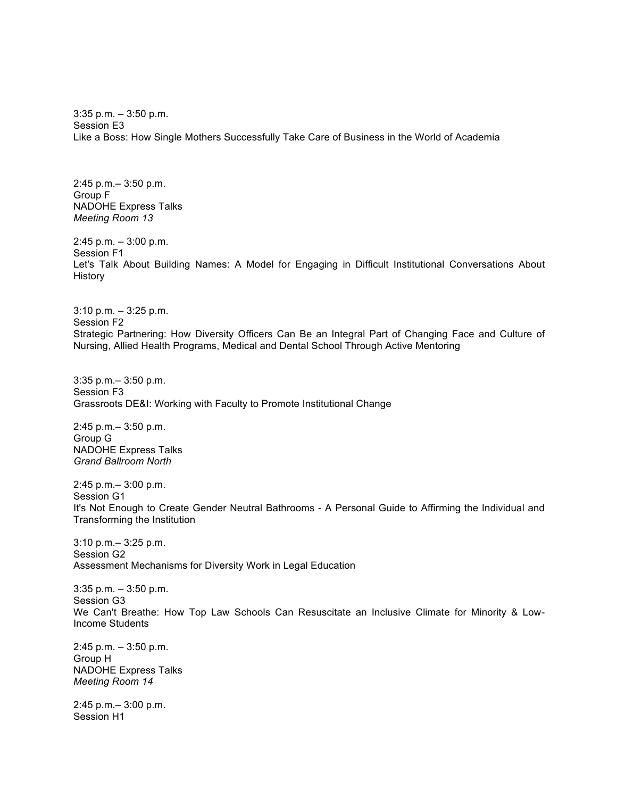3:35 p.m. – 3:50 p.m. Session E3 Like a Boss: How Single Mothers Successfully Take Care of Business in the World of Academia

2:45 p.m.– 3:50 p.m. Group F NADOHE Express Talks *Meeting Room 13*

2:45 p.m. – 3:00 p.m. Session F1 Let's Talk About Building Names: A Model for Engaging in Difficult Institutional Conversations About History

3:10 p.m. – 3:25 p.m. Session F2 Strategic Partnering: How Diversity Officers Can Be an Integral Part of Changing Face and Culture of Nursing, Allied Health Programs, Medical and Dental School Through Active Mentoring

3:35 p.m.– 3:50 p.m. Session F3 Grassroots DE&I: Working with Faculty to Promote Institutional Change

2:45 p.m.– 3:50 p.m. Group G NADOHE Express Talks *Grand Ballroom North* 

2:45 p.m.– 3:00 p.m. Session G1 It's Not Enough to Create Gender Neutral Bathrooms - A Personal Guide to Affirming the Individual and Transforming the Institution

3:10 p.m.– 3:25 p.m. Session G2 Assessment Mechanisms for Diversity Work in Legal Education

3:35 p.m. – 3:50 p.m. Session G3 We Can't Breathe: How Top Law Schools Can Resuscitate an Inclusive Climate for Minority & Low-Income Students

2:45 p.m. – 3:50 p.m. Group H NADOHE Express Talks *Meeting Room 14*

2:45 p.m.– 3:00 p.m. Session H1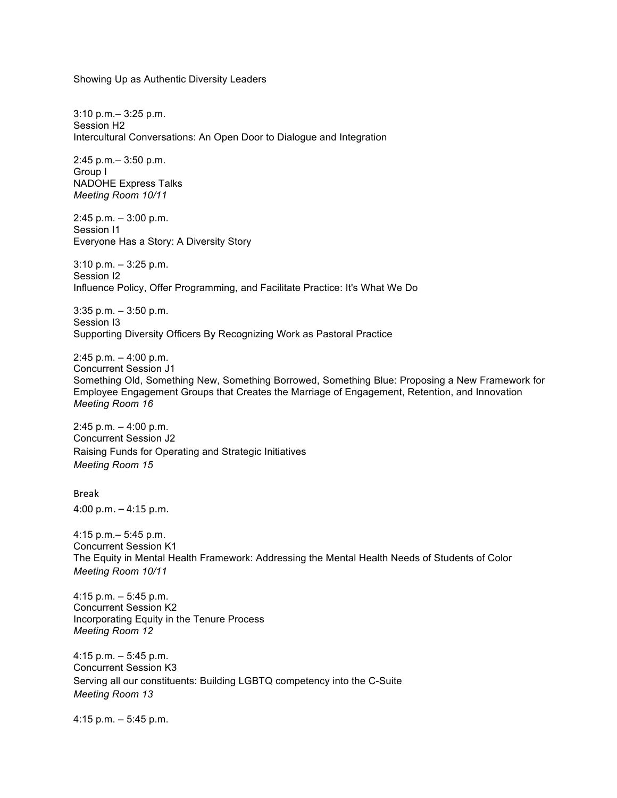Showing Up as Authentic Diversity Leaders

3:10 p.m.– 3:25 p.m. Session H2 Intercultural Conversations: An Open Door to Dialogue and Integration

2:45 p.m.– 3:50 p.m. Group I NADOHE Express Talks *Meeting Room 10/11*

2:45 p.m. – 3:00 p.m. Session I1 Everyone Has a Story: A Diversity Story

3:10 p.m. – 3:25 p.m. Session I2 Influence Policy, Offer Programming, and Facilitate Practice: It's What We Do

3:35 p.m. – 3:50 p.m. Session I3 Supporting Diversity Officers By Recognizing Work as Pastoral Practice

2:45 p.m. – 4:00 p.m. Concurrent Session J1 Something Old, Something New, Something Borrowed, Something Blue: Proposing a New Framework for Employee Engagement Groups that Creates the Marriage of Engagement, Retention, and Innovation *Meeting Room 16*

2:45 p.m. – 4:00 p.m. Concurrent Session J2 Raising Funds for Operating and Strategic Initiatives *Meeting Room 15*

Break 4:00 p.m.  $-$  4:15 p.m.

4:15 p.m.– 5:45 p.m. Concurrent Session K1 The Equity in Mental Health Framework: Addressing the Mental Health Needs of Students of Color *Meeting Room 10/11*

4:15 p.m. – 5:45 p.m. Concurrent Session K2 Incorporating Equity in the Tenure Process *Meeting Room 12*

4:15 p.m. – 5:45 p.m. Concurrent Session K3 Serving all our constituents: Building LGBTQ competency into the C-Suite *Meeting Room 13*

4:15 p.m. – 5:45 p.m.